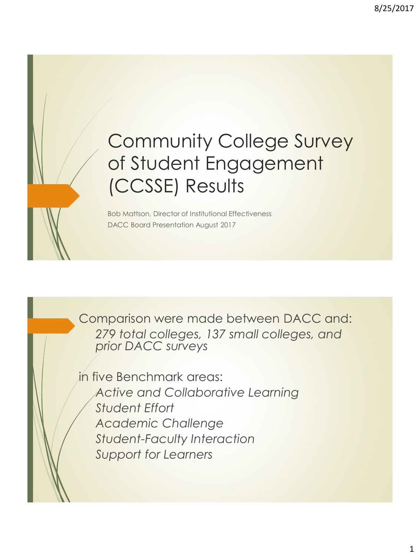# Community College Survey of Student Engagement (CCSSE) Results

Bob Mattson, Director of Institutional Effectiveness DACC Board Presentation August 2017

Comparison were made between DACC and: *279 total colleges, 137 small colleges, and prior DACC surveys*

in five Benchmark areas: *Active and Collaborative Learning Student Effort Academic Challenge Student-Faculty Interaction Support for Learners*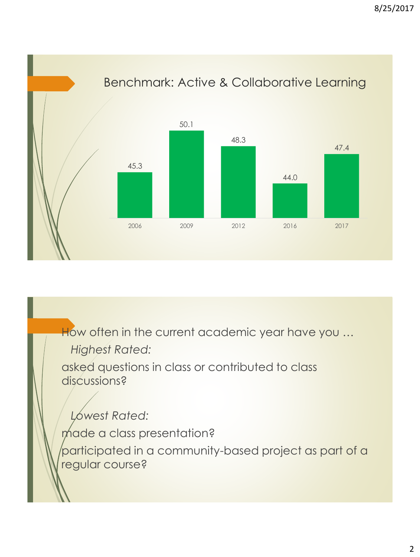Benchmark: Active & Collaborative Learning 45.3 50.1 48.3 44.0 47.4 2006 2009 2012 2016 2017

How often in the current academic year have you ...

*Highest Rated:*

asked questions in class or contributed to class discussions?

*Lowest Rated:* made a class presentation? participated in a community-based project as part of a regular course?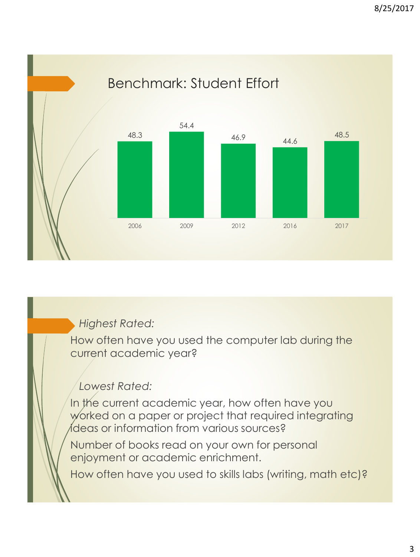Benchmark: Student Effort 48.3 54.4 46.9 44.6 48.5 2006 2009 2012 2016 2017

*Highest Rated:*

How often have you used the computer lab during the current academic year?

#### *Lowest Rated:*

In the current academic year, how often have you worked on a paper or project that required integrating ideas or information from various sources?

Number of books read on your own for personal enjoyment or academic enrichment.

How often have you used to skills labs (writing, math etc)?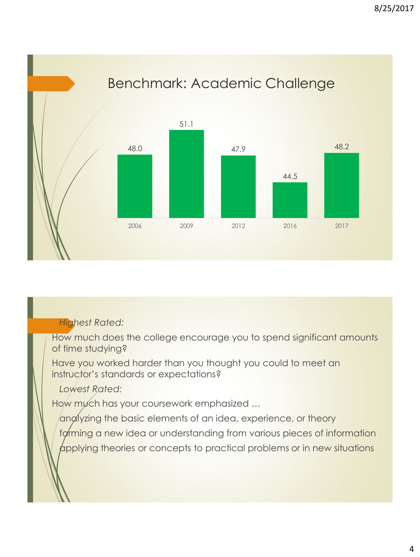Benchmark: Academic Challenge 48.0 51.1 47.9 44.5 48.2 2006 2009 2012 2016 2017

#### *Highest Rated:*

How much does the college encourage you to spend significant amounts of time studying?

Have you worked harder than you thought you could to meet an instructor's standards or expectations?

*Lowest Rated:*

How mych has your coursework emphasized ...

anglyzing the basic elements of an idea, experience, or theory

forming a new idea or understanding from various pieces of information

applying theories or concepts to practical problems or in new situations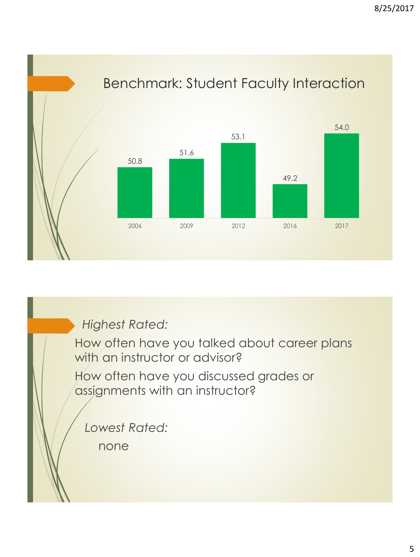

### *Highest Rated:*

How often have you talked about career plans with an instructor or advisor?

How often have you discussed grades or assignments with an instructor?

*Lowest Rated:*

none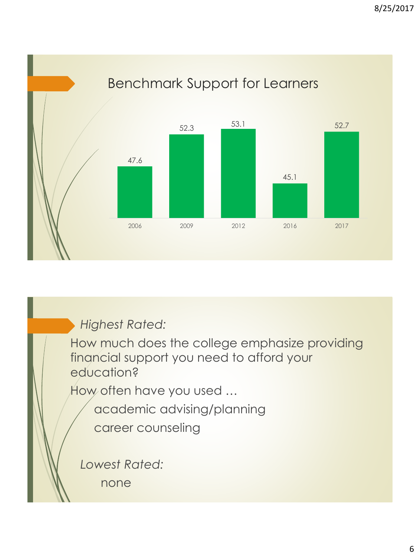Benchmark Support for Learners 47.6 52.3 53.1 45.1 52.7 2006 2009 2012 2016 2017

*Highest Rated:*

How much does the college emphasize providing financial support you need to afford your education?

How often have you used …

academic advising/planning

career counseling

*Lowest Rated:*

none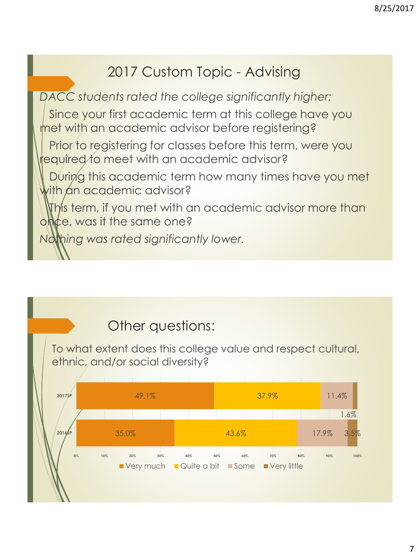# 2017 Custom Topic - Advising

*DACC students rated the college significantly higher:*

Since your first academic term at this college have you met with an academic advisor before registering?

Prior to registering for classes before this term, were you required to meet with an academic advisor?

During this academic term how many times have you met with an academic advisor?

This term, if you met with an academic advisor more than once, was it the same one?

*Nothing was rated significantly lower.*

# Other questions:

To what extent does this college value and respect cultural, ethnic, and/or social diversity?

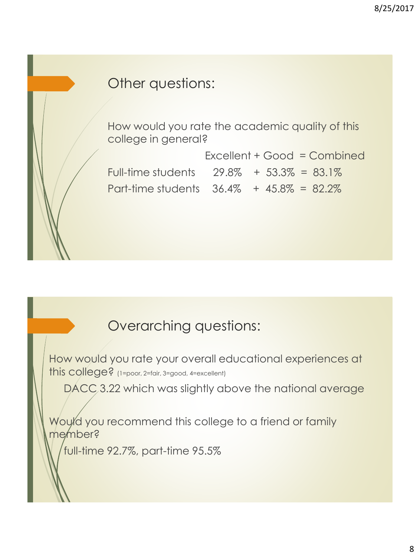## Other questions:

How would you rate the academic quality of this college in general?

Excellent + Good = Combined Full-time students  $29.8\% + 53.3\% = 83.1\%$ Part-time students  $36.4\% + 45.8\% = 82.2\%$ 

# Overarching questions:

How would you rate your overall educational experiences at this college? (1=poor, 2=fair, 3=good, 4=excellent)

DACC 3.22 which was slightly above the national average

Would you recommend this college to a friend or family member?

full-time 92.7%, part-time 95.5%